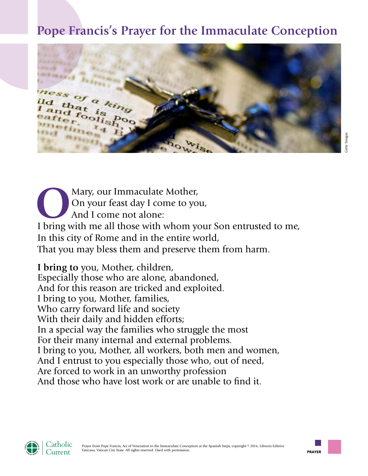## **Pope Francis's Prayer for the Immaculate Conception**



Mary, our Immaculate Mother, On your feast day I come to you, And I come not alone: I bring with me all those with whom your Son entrusted to me, In this city of Rome and in the entire world, That you may bless them and preserve them from harm.

**I bring to** you, Mother, children, Especially those who are alone, abandoned, And for this reason are tricked and exploited. I bring to you, Mother, families, Who carry forward life and society With their daily and hidden efforts; In a special way the families who struggle the most For their many internal and external problems. I bring to you, Mother, all workers, both men and women, And I entrust to you especially those who, out of need, Are forced to work in an unworthy profession And those who have lost work or are unable to find it.